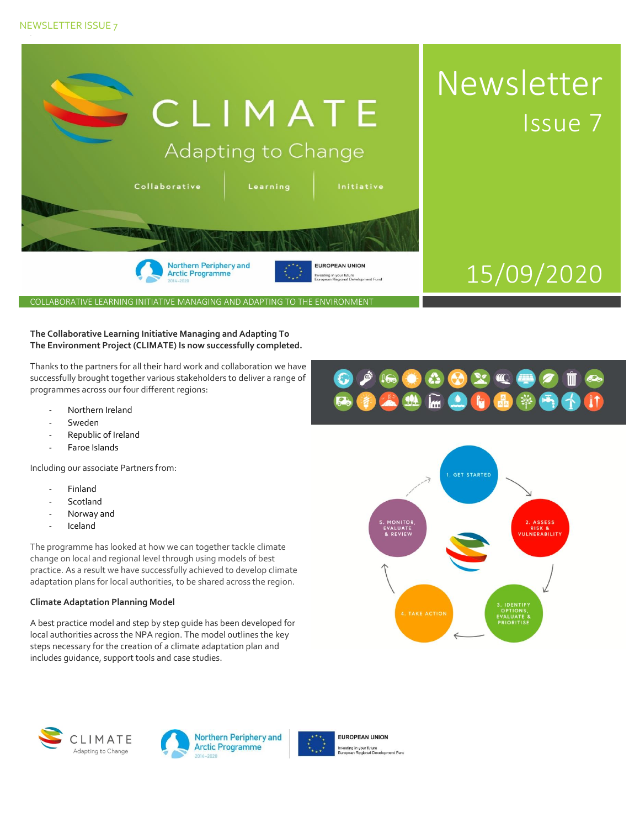# NEWSLETTER ISSUE 7



COLLABORATIVE LEARNING INITIATIVE MANAGING AND ADAPTING TO THE ENVIRONMENT

## **The Collaborative Learning Initiative Managing and Adapting To The Environment Project (CLIMATE) Is now successfully completed.**

Thanks to the partners for all their hard work and collaboration we have successfully brought together various stakeholders to deliver a range of programmes across our four different regions:

- Northern Ireland
- Sweden
- Republic of Ireland
- Faroe Islands

Including our associate Partners from:

- **Finland**
- **Scotland**
- Norway and
- Iceland

The programme has looked at how we can together tackle climate change on local and regional level through using models of best practice. As a result we have successfully achieved to develop climate adaptation plans for local authorities, to be shared across the region.

## **Climate Adaptation Planning Model**

A best practice model and step by step guide has been developed for local authorities across the NPA region. The model outlines the key steps necessary for the creation of a climate adaptation plan and includes guidance, support tools and case studies.









**EUROPEAN UNION** isting in your future<br>opean Regional Development Fund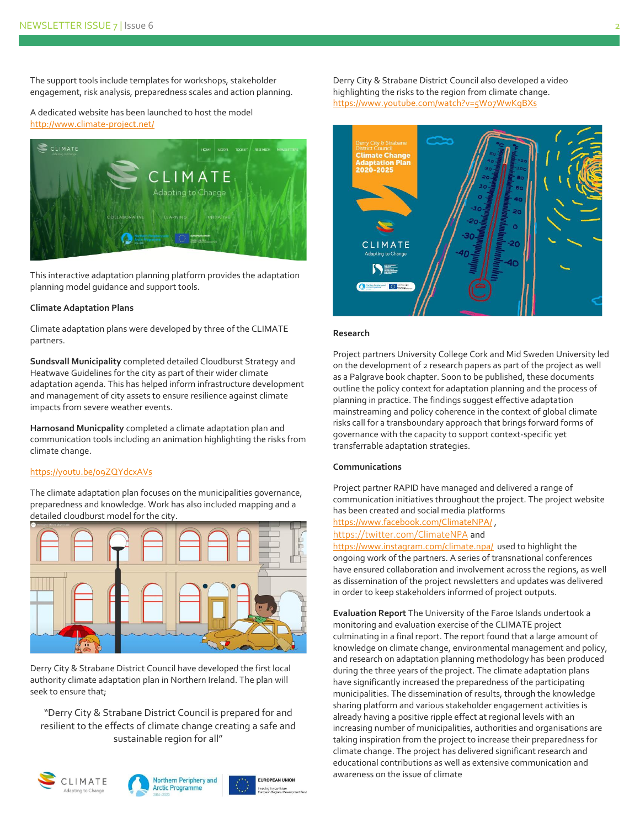The support tools include templates for workshops, stakeholder engagement, risk analysis, preparedness scales and action planning.

A dedicated website has been launched to host the model [http://www.climate-project.net/](https://protect-eu.mimecast.com/s/ntakCG5v0TwAAvtKI4lu?domain=climate-project.net/)



This interactive adaptation planning platform provides the adaptation planning model guidance and support tools.

#### **Climate Adaptation Plans**

Climate adaptation plans were developed by three of the CLIMATE partners.

**Sundsvall Municipality** completed detailed Cloudburst Strategy and Heatwave Guidelines for the city as part of their wider climate adaptation agenda. This has helped inform infrastructure development and management of city assets to ensure resilience against climate impacts from severe weather events.

**Harnosand Municpality** completed a climate adaptation plan and communication tools including an animation highlighting the risks from climate change.

## <https://youtu.be/o9ZQYdcxAVs>

The climate adaptation plan focuses on the municipalities governance, preparedness and knowledge. Work has also included mapping and a detailed cloudburst model for the city.



Derry City & Strabane District Council have developed the first local authority climate adaptation plan in Northern Ireland. The plan will seek to ensure that;

"Derry City & Strabane District Council is prepared for and resilient to the effects of climate change creating a safe and sustainable region for all"







Derry City & Strabane District Council also developed a video highlighting the risks to the region from climate change. <https://www.youtube.com/watch?v=5Wo7WwKgBXs>



#### **Research**

Project partners University College Cork and Mid Sweden University led on the development of 2 research papers as part of the project as well as a Palgrave book chapter. Soon to be published, these documents outline the policy context for adaptation planning and the process of planning in practice. The findings suggest effective adaptation mainstreaming and policy coherence in the context of global climate risks call for a transboundary approach that brings forward forms of governance with the capacity to support context-specific yet transferrable adaptation strategies.

#### **Communications**

Project partner RAPID have managed and delivered a range of communication initiatives throughout the project. The project website has been created and social media platforms

<https://www.facebook.com/ClimateNPA/> ,

# <https://twitter.com/ClimateNPA> and

<https://www.instagram.com/climate.npa/> used to highlight the ongoing work of the partners. A series of transnational conferences have ensured collaboration and involvement across the regions, as well as dissemination of the project newsletters and updates was delivered in order to keep stakeholders informed of project outputs.

**Evaluation Report** The University of the Faroe Islands undertook a monitoring and evaluation exercise of the CLIMATE project culminating in a final report. The report found that a large amount of knowledge on climate change, environmental management and policy, and research on adaptation planning methodology has been produced during the three years of the project. The climate adaptation plans have significantly increased the preparedness of the participating municipalities. The dissemination of results, through the knowledge sharing platform and various stakeholder engagement activities is already having a positive ripple effect at regional levels with an increasing number of municipalities, authorities and organisations are taking inspiration from the project to increase their preparedness for climate change. The project has delivered significant research and educational contributions as well as extensive communication and awareness on the issue of climate